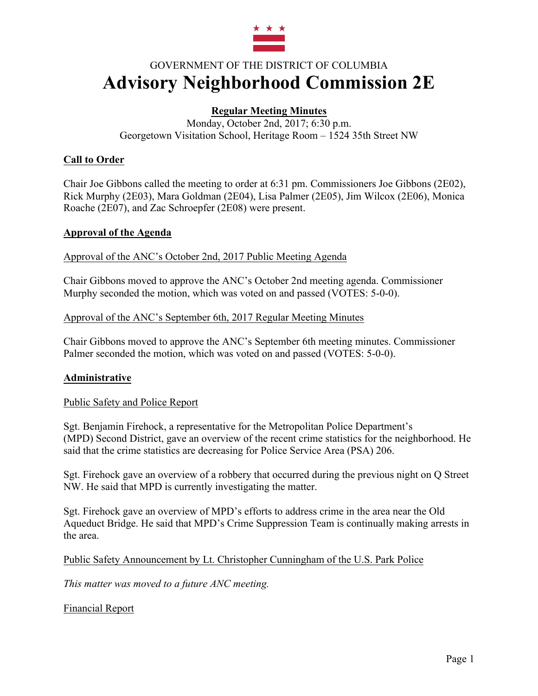

# GOVERNMENT OF THE DISTRICT OF COLUMBIA **Advisory Neighborhood Commission 2E**

# **Regular Meeting Minutes**

Monday, October 2nd, 2017; 6:30 p.m. Georgetown Visitation School, Heritage Room – 1524 35th Street NW

## **Call to Order**

Chair Joe Gibbons called the meeting to order at 6:31 pm. Commissioners Joe Gibbons (2E02), Rick Murphy (2E03), Mara Goldman (2E04), Lisa Palmer (2E05), Jim Wilcox (2E06), Monica Roache (2E07), and Zac Schroepfer (2E08) were present.

#### **Approval of the Agenda**

Approval of the ANC's October 2nd, 2017 Public Meeting Agenda

Chair Gibbons moved to approve the ANC's October 2nd meeting agenda. Commissioner Murphy seconded the motion, which was voted on and passed (VOTES: 5-0-0).

#### Approval of the ANC's September 6th, 2017 Regular Meeting Minutes

Chair Gibbons moved to approve the ANC's September 6th meeting minutes. Commissioner Palmer seconded the motion, which was voted on and passed (VOTES: 5-0-0).

#### **Administrative**

Public Safety and Police Report

Sgt. Benjamin Firehock, a representative for the Metropolitan Police Department's (MPD) Second District, gave an overview of the recent crime statistics for the neighborhood. He said that the crime statistics are decreasing for Police Service Area (PSA) 206.

Sgt. Firehock gave an overview of a robbery that occurred during the previous night on Q Street NW. He said that MPD is currently investigating the matter.

Sgt. Firehock gave an overview of MPD's efforts to address crime in the area near the Old Aqueduct Bridge. He said that MPD's Crime Suppression Team is continually making arrests in the area.

Public Safety Announcement by Lt. Christopher Cunningham of the U.S. Park Police

*This matter was moved to a future ANC meeting.*

Financial Report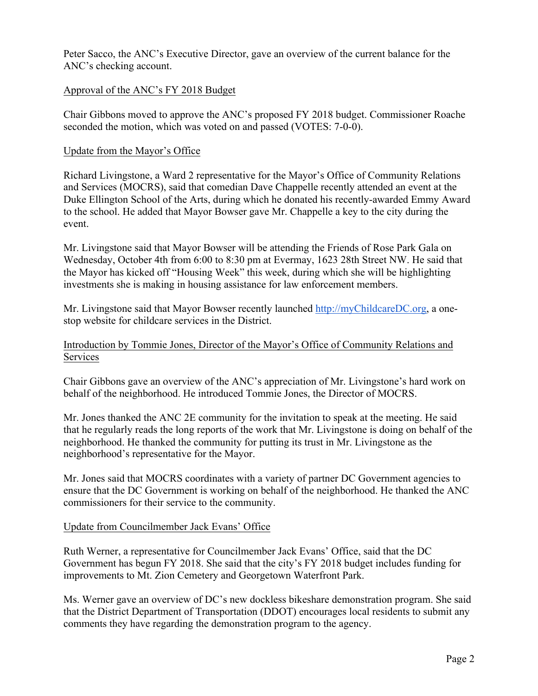Peter Sacco, the ANC's Executive Director, gave an overview of the current balance for the ANC's checking account.

#### Approval of the ANC's FY 2018 Budget

Chair Gibbons moved to approve the ANC's proposed FY 2018 budget. Commissioner Roache seconded the motion, which was voted on and passed (VOTES: 7-0-0).

#### Update from the Mayor's Office

Richard Livingstone, a Ward 2 representative for the Mayor's Office of Community Relations and Services (MOCRS), said that comedian Dave Chappelle recently attended an event at the Duke Ellington School of the Arts, during which he donated his recently-awarded Emmy Award to the school. He added that Mayor Bowser gave Mr. Chappelle a key to the city during the event.

Mr. Livingstone said that Mayor Bowser will be attending the Friends of Rose Park Gala on Wednesday, October 4th from 6:00 to 8:30 pm at Evermay, 1623 28th Street NW. He said that the Mayor has kicked off "Housing Week" this week, during which she will be highlighting investments she is making in housing assistance for law enforcement members.

Mr. Livingstone said that Mayor Bowser recently launched http://myChildcareDC.org, a onestop website for childcare services in the District.

## Introduction by Tommie Jones, Director of the Mayor's Office of Community Relations and Services

Chair Gibbons gave an overview of the ANC's appreciation of Mr. Livingstone's hard work on behalf of the neighborhood. He introduced Tommie Jones, the Director of MOCRS.

Mr. Jones thanked the ANC 2E community for the invitation to speak at the meeting. He said that he regularly reads the long reports of the work that Mr. Livingstone is doing on behalf of the neighborhood. He thanked the community for putting its trust in Mr. Livingstone as the neighborhood's representative for the Mayor.

Mr. Jones said that MOCRS coordinates with a variety of partner DC Government agencies to ensure that the DC Government is working on behalf of the neighborhood. He thanked the ANC commissioners for their service to the community.

#### Update from Councilmember Jack Evans' Office

Ruth Werner, a representative for Councilmember Jack Evans' Office, said that the DC Government has begun FY 2018. She said that the city's FY 2018 budget includes funding for improvements to Mt. Zion Cemetery and Georgetown Waterfront Park.

Ms. Werner gave an overview of DC's new dockless bikeshare demonstration program. She said that the District Department of Transportation (DDOT) encourages local residents to submit any comments they have regarding the demonstration program to the agency.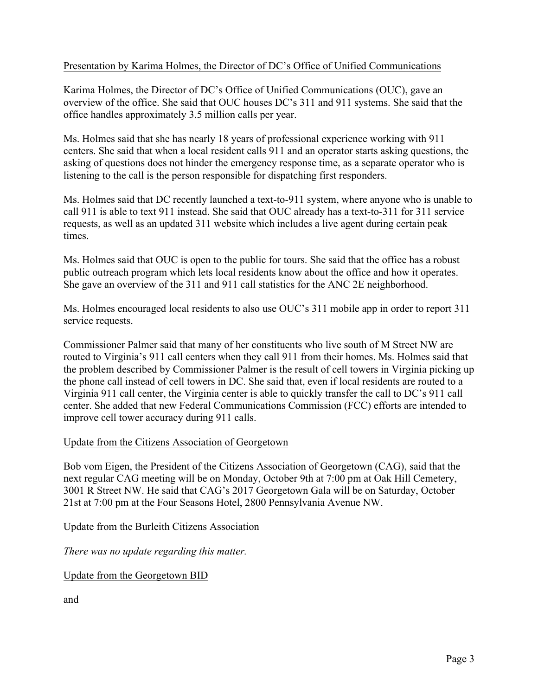## Presentation by Karima Holmes, the Director of DC's Office of Unified Communications

Karima Holmes, the Director of DC's Office of Unified Communications (OUC), gave an overview of the office. She said that OUC houses DC's 311 and 911 systems. She said that the office handles approximately 3.5 million calls per year.

Ms. Holmes said that she has nearly 18 years of professional experience working with 911 centers. She said that when a local resident calls 911 and an operator starts asking questions, the asking of questions does not hinder the emergency response time, as a separate operator who is listening to the call is the person responsible for dispatching first responders.

Ms. Holmes said that DC recently launched a text-to-911 system, where anyone who is unable to call 911 is able to text 911 instead. She said that OUC already has a text-to-311 for 311 service requests, as well as an updated 311 website which includes a live agent during certain peak times.

Ms. Holmes said that OUC is open to the public for tours. She said that the office has a robust public outreach program which lets local residents know about the office and how it operates. She gave an overview of the 311 and 911 call statistics for the ANC 2E neighborhood.

Ms. Holmes encouraged local residents to also use OUC's 311 mobile app in order to report 311 service requests.

Commissioner Palmer said that many of her constituents who live south of M Street NW are routed to Virginia's 911 call centers when they call 911 from their homes. Ms. Holmes said that the problem described by Commissioner Palmer is the result of cell towers in Virginia picking up the phone call instead of cell towers in DC. She said that, even if local residents are routed to a Virginia 911 call center, the Virginia center is able to quickly transfer the call to DC's 911 call center. She added that new Federal Communications Commission (FCC) efforts are intended to improve cell tower accuracy during 911 calls.

#### Update from the Citizens Association of Georgetown

Bob vom Eigen, the President of the Citizens Association of Georgetown (CAG), said that the next regular CAG meeting will be on Monday, October 9th at 7:00 pm at Oak Hill Cemetery, 3001 R Street NW. He said that CAG's 2017 Georgetown Gala will be on Saturday, October 21st at 7:00 pm at the Four Seasons Hotel, 2800 Pennsylvania Avenue NW.

Update from the Burleith Citizens Association

*There was no update regarding this matter.*

Update from the Georgetown BID

and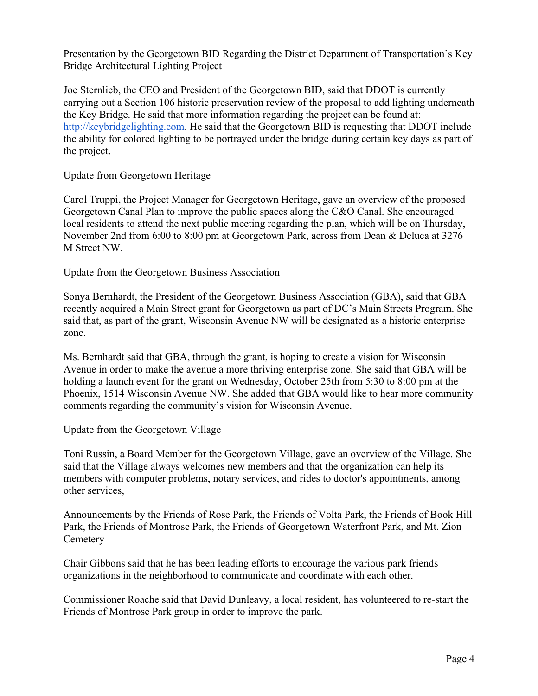## Presentation by the Georgetown BID Regarding the District Department of Transportation's Key Bridge Architectural Lighting Project

Joe Sternlieb, the CEO and President of the Georgetown BID, said that DDOT is currently carrying out a Section 106 historic preservation review of the proposal to add lighting underneath the Key Bridge. He said that more information regarding the project can be found at: http://keybridgelighting.com. He said that the Georgetown BID is requesting that DDOT include the ability for colored lighting to be portrayed under the bridge during certain key days as part of the project.

#### Update from Georgetown Heritage

Carol Truppi, the Project Manager for Georgetown Heritage, gave an overview of the proposed Georgetown Canal Plan to improve the public spaces along the C&O Canal. She encouraged local residents to attend the next public meeting regarding the plan, which will be on Thursday, November 2nd from 6:00 to 8:00 pm at Georgetown Park, across from Dean & Deluca at 3276 M Street NW.

#### Update from the Georgetown Business Association

Sonya Bernhardt, the President of the Georgetown Business Association (GBA), said that GBA recently acquired a Main Street grant for Georgetown as part of DC's Main Streets Program. She said that, as part of the grant, Wisconsin Avenue NW will be designated as a historic enterprise zone.

Ms. Bernhardt said that GBA, through the grant, is hoping to create a vision for Wisconsin Avenue in order to make the avenue a more thriving enterprise zone. She said that GBA will be holding a launch event for the grant on Wednesday, October 25th from 5:30 to 8:00 pm at the Phoenix, 1514 Wisconsin Avenue NW. She added that GBA would like to hear more community comments regarding the community's vision for Wisconsin Avenue.

#### Update from the Georgetown Village

Toni Russin, a Board Member for the Georgetown Village, gave an overview of the Village. She said that the Village always welcomes new members and that the organization can help its members with computer problems, notary services, and rides to doctor's appointments, among other services,

Announcements by the Friends of Rose Park, the Friends of Volta Park, the Friends of Book Hill Park, the Friends of Montrose Park, the Friends of Georgetown Waterfront Park, and Mt. Zion **Cemetery** 

Chair Gibbons said that he has been leading efforts to encourage the various park friends organizations in the neighborhood to communicate and coordinate with each other.

Commissioner Roache said that David Dunleavy, a local resident, has volunteered to re-start the Friends of Montrose Park group in order to improve the park.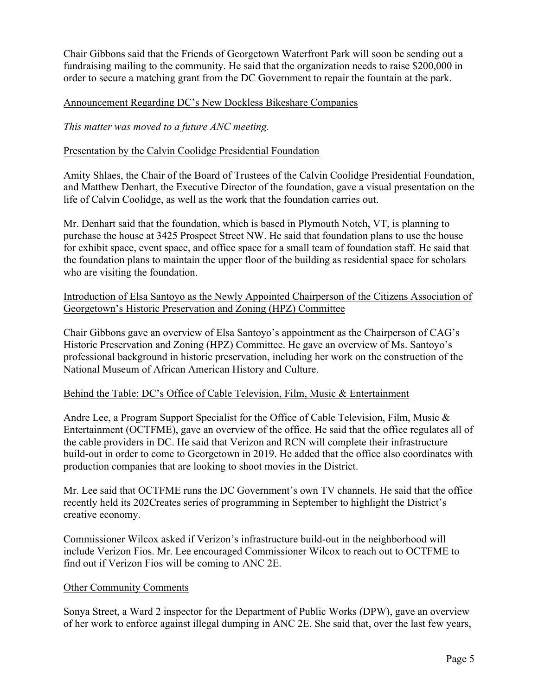Chair Gibbons said that the Friends of Georgetown Waterfront Park will soon be sending out a fundraising mailing to the community. He said that the organization needs to raise \$200,000 in order to secure a matching grant from the DC Government to repair the fountain at the park.

#### Announcement Regarding DC's New Dockless Bikeshare Companies

*This matter was moved to a future ANC meeting.*

#### Presentation by the Calvin Coolidge Presidential Foundation

Amity Shlaes, the Chair of the Board of Trustees of the Calvin Coolidge Presidential Foundation, and Matthew Denhart, the Executive Director of the foundation, gave a visual presentation on the life of Calvin Coolidge, as well as the work that the foundation carries out.

Mr. Denhart said that the foundation, which is based in Plymouth Notch, VT, is planning to purchase the house at 3425 Prospect Street NW. He said that foundation plans to use the house for exhibit space, event space, and office space for a small team of foundation staff. He said that the foundation plans to maintain the upper floor of the building as residential space for scholars who are visiting the foundation.

#### Introduction of Elsa Santoyo as the Newly Appointed Chairperson of the Citizens Association of Georgetown's Historic Preservation and Zoning (HPZ) Committee

Chair Gibbons gave an overview of Elsa Santoyo's appointment as the Chairperson of CAG's Historic Preservation and Zoning (HPZ) Committee. He gave an overview of Ms. Santoyo's professional background in historic preservation, including her work on the construction of the National Museum of African American History and Culture.

#### Behind the Table: DC's Office of Cable Television, Film, Music & Entertainment

Andre Lee, a Program Support Specialist for the Office of Cable Television, Film, Music & Entertainment (OCTFME), gave an overview of the office. He said that the office regulates all of the cable providers in DC. He said that Verizon and RCN will complete their infrastructure build-out in order to come to Georgetown in 2019. He added that the office also coordinates with production companies that are looking to shoot movies in the District.

Mr. Lee said that OCTFME runs the DC Government's own TV channels. He said that the office recently held its 202Creates series of programming in September to highlight the District's creative economy.

Commissioner Wilcox asked if Verizon's infrastructure build-out in the neighborhood will include Verizon Fios. Mr. Lee encouraged Commissioner Wilcox to reach out to OCTFME to find out if Verizon Fios will be coming to ANC 2E.

#### Other Community Comments

Sonya Street, a Ward 2 inspector for the Department of Public Works (DPW), gave an overview of her work to enforce against illegal dumping in ANC 2E. She said that, over the last few years,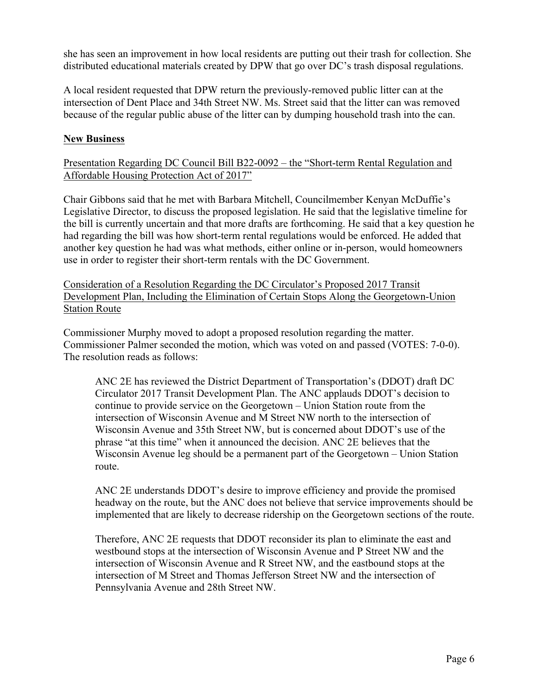she has seen an improvement in how local residents are putting out their trash for collection. She distributed educational materials created by DPW that go over DC's trash disposal regulations.

A local resident requested that DPW return the previously-removed public litter can at the intersection of Dent Place and 34th Street NW. Ms. Street said that the litter can was removed because of the regular public abuse of the litter can by dumping household trash into the can.

## **New Business**

Presentation Regarding DC Council Bill B22-0092 – the "Short-term Rental Regulation and Affordable Housing Protection Act of 2017"

Chair Gibbons said that he met with Barbara Mitchell, Councilmember Kenyan McDuffie's Legislative Director, to discuss the proposed legislation. He said that the legislative timeline for the bill is currently uncertain and that more drafts are forthcoming. He said that a key question he had regarding the bill was how short-term rental regulations would be enforced. He added that another key question he had was what methods, either online or in-person, would homeowners use in order to register their short-term rentals with the DC Government.

Consideration of a Resolution Regarding the DC Circulator's Proposed 2017 Transit Development Plan, Including the Elimination of Certain Stops Along the Georgetown-Union Station Route

Commissioner Murphy moved to adopt a proposed resolution regarding the matter. Commissioner Palmer seconded the motion, which was voted on and passed (VOTES: 7-0-0). The resolution reads as follows:

ANC 2E has reviewed the District Department of Transportation's (DDOT) draft DC Circulator 2017 Transit Development Plan. The ANC applauds DDOT's decision to continue to provide service on the Georgetown – Union Station route from the intersection of Wisconsin Avenue and M Street NW north to the intersection of Wisconsin Avenue and 35th Street NW, but is concerned about DDOT's use of the phrase "at this time" when it announced the decision. ANC 2E believes that the Wisconsin Avenue leg should be a permanent part of the Georgetown – Union Station route.

ANC 2E understands DDOT's desire to improve efficiency and provide the promised headway on the route, but the ANC does not believe that service improvements should be implemented that are likely to decrease ridership on the Georgetown sections of the route.

Therefore, ANC 2E requests that DDOT reconsider its plan to eliminate the east and westbound stops at the intersection of Wisconsin Avenue and P Street NW and the intersection of Wisconsin Avenue and R Street NW, and the eastbound stops at the intersection of M Street and Thomas Jefferson Street NW and the intersection of Pennsylvania Avenue and 28th Street NW.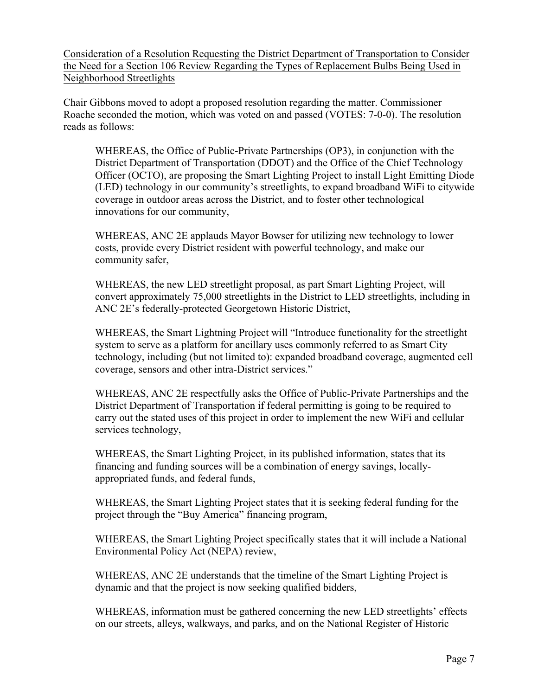Consideration of a Resolution Requesting the District Department of Transportation to Consider the Need for a Section 106 Review Regarding the Types of Replacement Bulbs Being Used in Neighborhood Streetlights

Chair Gibbons moved to adopt a proposed resolution regarding the matter. Commissioner Roache seconded the motion, which was voted on and passed (VOTES: 7-0-0). The resolution reads as follows:

WHEREAS, the Office of Public-Private Partnerships (OP3), in conjunction with the District Department of Transportation (DDOT) and the Office of the Chief Technology Officer (OCTO), are proposing the Smart Lighting Project to install Light Emitting Diode (LED) technology in our community's streetlights, to expand broadband WiFi to citywide coverage in outdoor areas across the District, and to foster other technological innovations for our community,

WHEREAS, ANC 2E applauds Mayor Bowser for utilizing new technology to lower costs, provide every District resident with powerful technology, and make our community safer,

WHEREAS, the new LED streetlight proposal, as part Smart Lighting Project, will convert approximately 75,000 streetlights in the District to LED streetlights, including in ANC 2E's federally-protected Georgetown Historic District,

WHEREAS, the Smart Lightning Project will "Introduce functionality for the streetlight system to serve as a platform for ancillary uses commonly referred to as Smart City technology, including (but not limited to): expanded broadband coverage, augmented cell coverage, sensors and other intra-District services."

WHEREAS, ANC 2E respectfully asks the Office of Public-Private Partnerships and the District Department of Transportation if federal permitting is going to be required to carry out the stated uses of this project in order to implement the new WiFi and cellular services technology,

WHEREAS, the Smart Lighting Project, in its published information, states that its financing and funding sources will be a combination of energy savings, locallyappropriated funds, and federal funds,

WHEREAS, the Smart Lighting Project states that it is seeking federal funding for the project through the "Buy America" financing program,

WHEREAS, the Smart Lighting Project specifically states that it will include a National Environmental Policy Act (NEPA) review,

WHEREAS, ANC 2E understands that the timeline of the Smart Lighting Project is dynamic and that the project is now seeking qualified bidders,

WHEREAS, information must be gathered concerning the new LED streetlights' effects on our streets, alleys, walkways, and parks, and on the National Register of Historic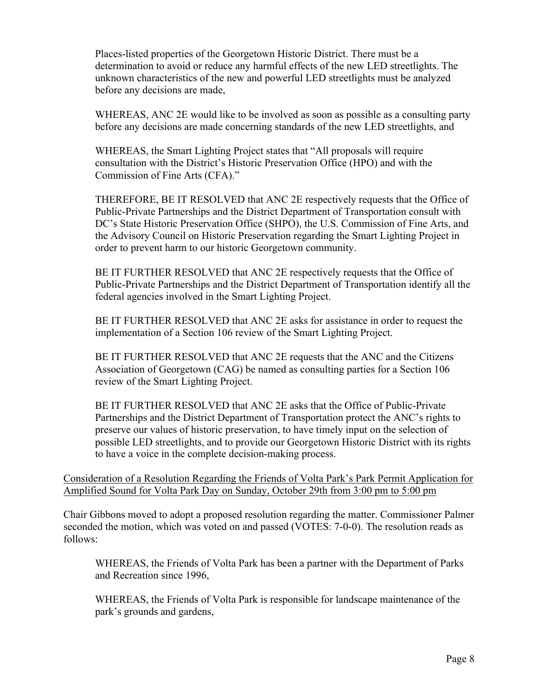Places-listed properties of the Georgetown Historic District. There must be a determination to avoid or reduce any harmful effects of the new LED streetlights. The unknown characteristics of the new and powerful LED streetlights must be analyzed before any decisions are made,

WHEREAS, ANC 2E would like to be involved as soon as possible as a consulting party before any decisions are made concerning standards of the new LED streetlights, and

WHEREAS, the Smart Lighting Project states that "All proposals will require consultation with the District's Historic Preservation Office (HPO) and with the Commission of Fine Arts (CFA)."

THEREFORE, BE IT RESOLVED that ANC 2E respectively requests that the Office of Public-Private Partnerships and the District Department of Transportation consult with DC's State Historic Preservation Office (SHPO), the U.S. Commission of Fine Arts, and the Advisory Council on Historic Preservation regarding the Smart Lighting Project in order to prevent harm to our historic Georgetown community.

BE IT FURTHER RESOLVED that ANC 2E respectively requests that the Office of Public-Private Partnerships and the District Department of Transportation identify all the federal agencies involved in the Smart Lighting Project.

BE IT FURTHER RESOLVED that ANC 2E asks for assistance in order to request the implementation of a Section 106 review of the Smart Lighting Project.

BE IT FURTHER RESOLVED that ANC 2E requests that the ANC and the Citizens Association of Georgetown (CAG) be named as consulting parties for a Section 106 review of the Smart Lighting Project.

BE IT FURTHER RESOLVED that ANC 2E asks that the Office of Public-Private Partnerships and the District Department of Transportation protect the ANC's rights to preserve our values of historic preservation, to have timely input on the selection of possible LED streetlights, and to provide our Georgetown Historic District with its rights to have a voice in the complete decision-making process.

#### Consideration of a Resolution Regarding the Friends of Volta Park's Park Permit Application for Amplified Sound for Volta Park Day on Sunday, October 29th from 3:00 pm to 5:00 pm

Chair Gibbons moved to adopt a proposed resolution regarding the matter. Commissioner Palmer seconded the motion, which was voted on and passed (VOTES: 7-0-0). The resolution reads as follows:

WHEREAS, the Friends of Volta Park has been a partner with the Department of Parks and Recreation since 1996,

WHEREAS, the Friends of Volta Park is responsible for landscape maintenance of the park's grounds and gardens,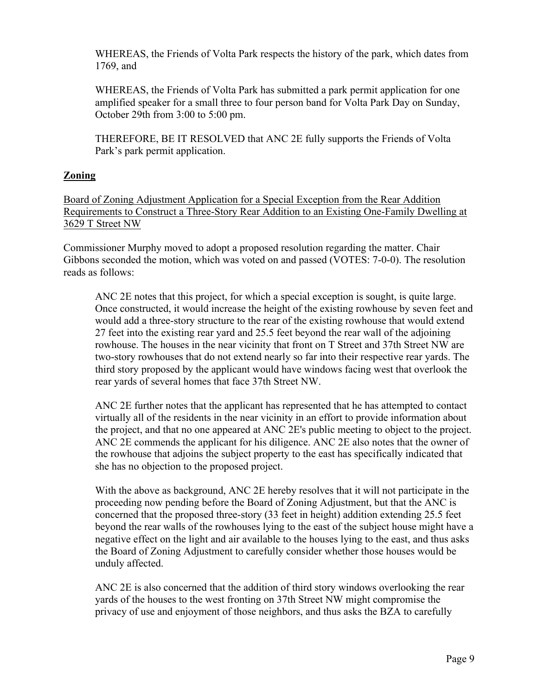WHEREAS, the Friends of Volta Park respects the history of the park, which dates from 1769, and

WHEREAS, the Friends of Volta Park has submitted a park permit application for one amplified speaker for a small three to four person band for Volta Park Day on Sunday, October 29th from 3:00 to 5:00 pm.

THEREFORE, BE IT RESOLVED that ANC 2E fully supports the Friends of Volta Park's park permit application.

# **Zoning**

Board of Zoning Adjustment Application for a Special Exception from the Rear Addition Requirements to Construct a Three-Story Rear Addition to an Existing One-Family Dwelling at 3629 T Street NW

Commissioner Murphy moved to adopt a proposed resolution regarding the matter. Chair Gibbons seconded the motion, which was voted on and passed (VOTES: 7-0-0). The resolution reads as follows:

ANC 2E notes that this project, for which a special exception is sought, is quite large. Once constructed, it would increase the height of the existing rowhouse by seven feet and would add a three-story structure to the rear of the existing rowhouse that would extend 27 feet into the existing rear yard and 25.5 feet beyond the rear wall of the adjoining rowhouse. The houses in the near vicinity that front on T Street and 37th Street NW are two-story rowhouses that do not extend nearly so far into their respective rear yards. The third story proposed by the applicant would have windows facing west that overlook the rear yards of several homes that face 37th Street NW.

ANC 2E further notes that the applicant has represented that he has attempted to contact virtually all of the residents in the near vicinity in an effort to provide information about the project, and that no one appeared at ANC 2E's public meeting to object to the project. ANC 2E commends the applicant for his diligence. ANC 2E also notes that the owner of the rowhouse that adjoins the subject property to the east has specifically indicated that she has no objection to the proposed project.

With the above as background, ANC 2E hereby resolves that it will not participate in the proceeding now pending before the Board of Zoning Adjustment, but that the ANC is concerned that the proposed three-story (33 feet in height) addition extending 25.5 feet beyond the rear walls of the rowhouses lying to the east of the subject house might have a negative effect on the light and air available to the houses lying to the east, and thus asks the Board of Zoning Adjustment to carefully consider whether those houses would be unduly affected.

ANC 2E is also concerned that the addition of third story windows overlooking the rear yards of the houses to the west fronting on 37th Street NW might compromise the privacy of use and enjoyment of those neighbors, and thus asks the BZA to carefully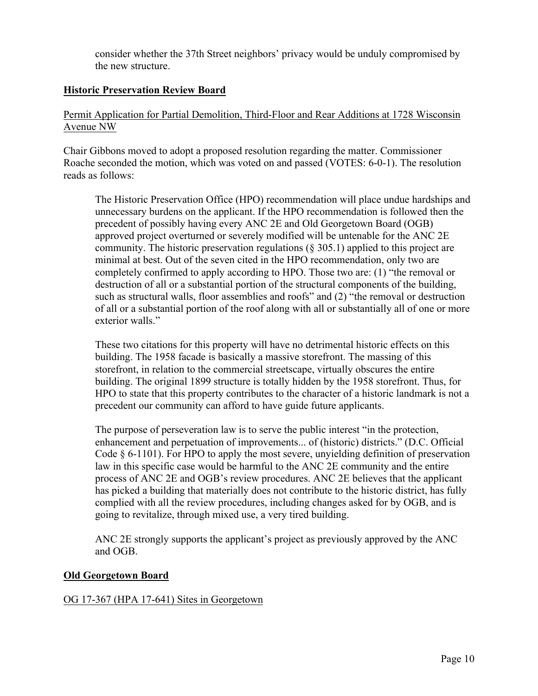consider whether the 37th Street neighbors' privacy would be unduly compromised by the new structure.

## **Historic Preservation Review Board**

## Permit Application for Partial Demolition, Third-Floor and Rear Additions at 1728 Wisconsin Avenue NW

Chair Gibbons moved to adopt a proposed resolution regarding the matter. Commissioner Roache seconded the motion, which was voted on and passed (VOTES: 6-0-1). The resolution reads as follows:

The Historic Preservation Office (HPO) recommendation will place undue hardships and unnecessary burdens on the applicant. If the HPO recommendation is followed then the precedent of possibly having every ANC 2E and Old Georgetown Board (OGB) approved project overturned or severely modified will be untenable for the ANC 2E community. The historic preservation regulations (§ 305.1) applied to this project are minimal at best. Out of the seven cited in the HPO recommendation, only two are completely confirmed to apply according to HPO. Those two are: (1) "the removal or destruction of all or a substantial portion of the structural components of the building, such as structural walls, floor assemblies and roofs" and (2) "the removal or destruction of all or a substantial portion of the roof along with all or substantially all of one or more exterior walls."

These two citations for this property will have no detrimental historic effects on this building. The 1958 facade is basically a massive storefront. The massing of this storefront, in relation to the commercial streetscape, virtually obscures the entire building. The original 1899 structure is totally hidden by the 1958 storefront. Thus, for HPO to state that this property contributes to the character of a historic landmark is not a precedent our community can afford to have guide future applicants.

The purpose of perseveration law is to serve the public interest "in the protection, enhancement and perpetuation of improvements... of (historic) districts." (D.C. Official Code § 6-1101). For HPO to apply the most severe, unyielding definition of preservation law in this specific case would be harmful to the ANC 2E community and the entire process of ANC 2E and OGB's review procedures. ANC 2E believes that the applicant has picked a building that materially does not contribute to the historic district, has fully complied with all the review procedures, including changes asked for by OGB, and is going to revitalize, through mixed use, a very tired building.

ANC 2E strongly supports the applicant's project as previously approved by the ANC and OGB.

## **Old Georgetown Board**

## OG 17-367 (HPA 17-641) Sites in Georgetown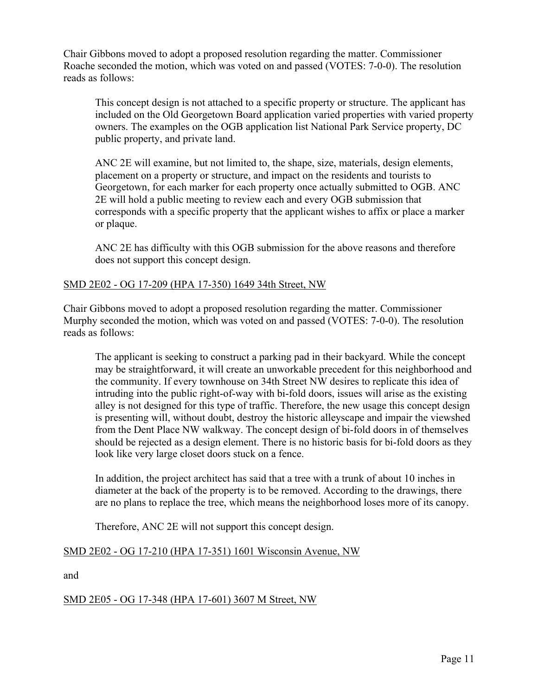Chair Gibbons moved to adopt a proposed resolution regarding the matter. Commissioner Roache seconded the motion, which was voted on and passed (VOTES: 7-0-0). The resolution reads as follows:

This concept design is not attached to a specific property or structure. The applicant has included on the Old Georgetown Board application varied properties with varied property owners. The examples on the OGB application list National Park Service property, DC public property, and private land.

ANC 2E will examine, but not limited to, the shape, size, materials, design elements, placement on a property or structure, and impact on the residents and tourists to Georgetown, for each marker for each property once actually submitted to OGB. ANC 2E will hold a public meeting to review each and every OGB submission that corresponds with a specific property that the applicant wishes to affix or place a marker or plaque.

ANC 2E has difficulty with this OGB submission for the above reasons and therefore does not support this concept design.

#### SMD 2E02 - OG 17-209 (HPA 17-350) 1649 34th Street, NW

Chair Gibbons moved to adopt a proposed resolution regarding the matter. Commissioner Murphy seconded the motion, which was voted on and passed (VOTES: 7-0-0). The resolution reads as follows:

The applicant is seeking to construct a parking pad in their backyard. While the concept may be straightforward, it will create an unworkable precedent for this neighborhood and the community. If every townhouse on 34th Street NW desires to replicate this idea of intruding into the public right-of-way with bi-fold doors, issues will arise as the existing alley is not designed for this type of traffic. Therefore, the new usage this concept design is presenting will, without doubt, destroy the historic alleyscape and impair the viewshed from the Dent Place NW walkway. The concept design of bi-fold doors in of themselves should be rejected as a design element. There is no historic basis for bi-fold doors as they look like very large closet doors stuck on a fence.

In addition, the project architect has said that a tree with a trunk of about 10 inches in diameter at the back of the property is to be removed. According to the drawings, there are no plans to replace the tree, which means the neighborhood loses more of its canopy.

Therefore, ANC 2E will not support this concept design.

## SMD 2E02 - OG 17-210 (HPA 17-351) 1601 Wisconsin Avenue, NW

and

## SMD 2E05 - OG 17-348 (HPA 17-601) 3607 M Street, NW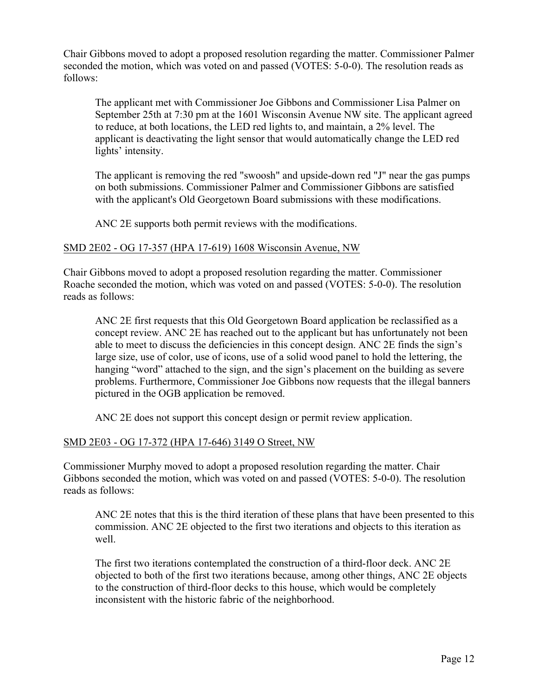Chair Gibbons moved to adopt a proposed resolution regarding the matter. Commissioner Palmer seconded the motion, which was voted on and passed (VOTES: 5-0-0). The resolution reads as follows:

The applicant met with Commissioner Joe Gibbons and Commissioner Lisa Palmer on September 25th at 7:30 pm at the 1601 Wisconsin Avenue NW site. The applicant agreed to reduce, at both locations, the LED red lights to, and maintain, a 2% level. The applicant is deactivating the light sensor that would automatically change the LED red lights' intensity.

The applicant is removing the red "swoosh" and upside-down red "J" near the gas pumps on both submissions. Commissioner Palmer and Commissioner Gibbons are satisfied with the applicant's Old Georgetown Board submissions with these modifications.

ANC 2E supports both permit reviews with the modifications.

#### SMD 2E02 - OG 17-357 (HPA 17-619) 1608 Wisconsin Avenue, NW

Chair Gibbons moved to adopt a proposed resolution regarding the matter. Commissioner Roache seconded the motion, which was voted on and passed (VOTES: 5-0-0). The resolution reads as follows:

ANC 2E first requests that this Old Georgetown Board application be reclassified as a concept review. ANC 2E has reached out to the applicant but has unfortunately not been able to meet to discuss the deficiencies in this concept design. ANC 2E finds the sign's large size, use of color, use of icons, use of a solid wood panel to hold the lettering, the hanging "word" attached to the sign, and the sign's placement on the building as severe problems. Furthermore, Commissioner Joe Gibbons now requests that the illegal banners pictured in the OGB application be removed.

ANC 2E does not support this concept design or permit review application.

## SMD 2E03 - OG 17-372 (HPA 17-646) 3149 O Street, NW

Commissioner Murphy moved to adopt a proposed resolution regarding the matter. Chair Gibbons seconded the motion, which was voted on and passed (VOTES: 5-0-0). The resolution reads as follows:

ANC 2E notes that this is the third iteration of these plans that have been presented to this commission. ANC 2E objected to the first two iterations and objects to this iteration as well.

The first two iterations contemplated the construction of a third-floor deck. ANC 2E objected to both of the first two iterations because, among other things, ANC 2E objects to the construction of third-floor decks to this house, which would be completely inconsistent with the historic fabric of the neighborhood.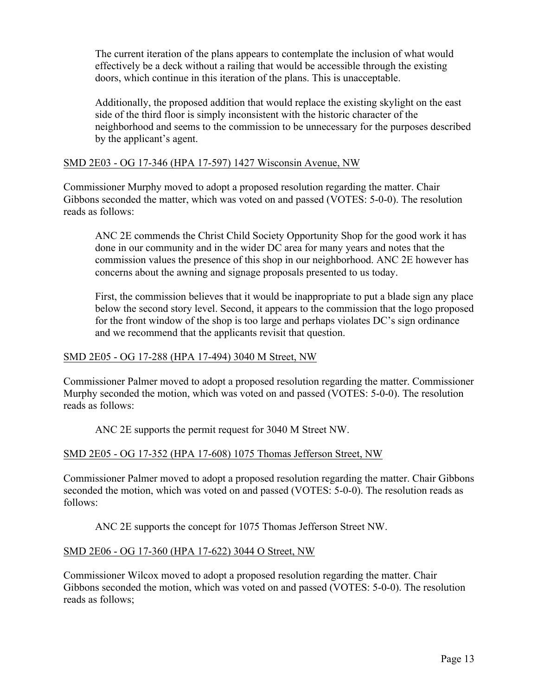The current iteration of the plans appears to contemplate the inclusion of what would effectively be a deck without a railing that would be accessible through the existing doors, which continue in this iteration of the plans. This is unacceptable.

Additionally, the proposed addition that would replace the existing skylight on the east side of the third floor is simply inconsistent with the historic character of the neighborhood and seems to the commission to be unnecessary for the purposes described by the applicant's agent.

## SMD 2E03 - OG 17-346 (HPA 17-597) 1427 Wisconsin Avenue, NW

Commissioner Murphy moved to adopt a proposed resolution regarding the matter. Chair Gibbons seconded the matter, which was voted on and passed (VOTES: 5-0-0). The resolution reads as follows:

ANC 2E commends the Christ Child Society Opportunity Shop for the good work it has done in our community and in the wider DC area for many years and notes that the commission values the presence of this shop in our neighborhood. ANC 2E however has concerns about the awning and signage proposals presented to us today.

First, the commission believes that it would be inappropriate to put a blade sign any place below the second story level. Second, it appears to the commission that the logo proposed for the front window of the shop is too large and perhaps violates DC's sign ordinance and we recommend that the applicants revisit that question.

#### SMD 2E05 - OG 17-288 (HPA 17-494) 3040 M Street, NW

Commissioner Palmer moved to adopt a proposed resolution regarding the matter. Commissioner Murphy seconded the motion, which was voted on and passed (VOTES: 5-0-0). The resolution reads as follows:

ANC 2E supports the permit request for 3040 M Street NW.

## SMD 2E05 - OG 17-352 (HPA 17-608) 1075 Thomas Jefferson Street, NW

Commissioner Palmer moved to adopt a proposed resolution regarding the matter. Chair Gibbons seconded the motion, which was voted on and passed (VOTES: 5-0-0). The resolution reads as follows:

ANC 2E supports the concept for 1075 Thomas Jefferson Street NW.

#### SMD 2E06 - OG 17-360 (HPA 17-622) 3044 O Street, NW

Commissioner Wilcox moved to adopt a proposed resolution regarding the matter. Chair Gibbons seconded the motion, which was voted on and passed (VOTES: 5-0-0). The resolution reads as follows;